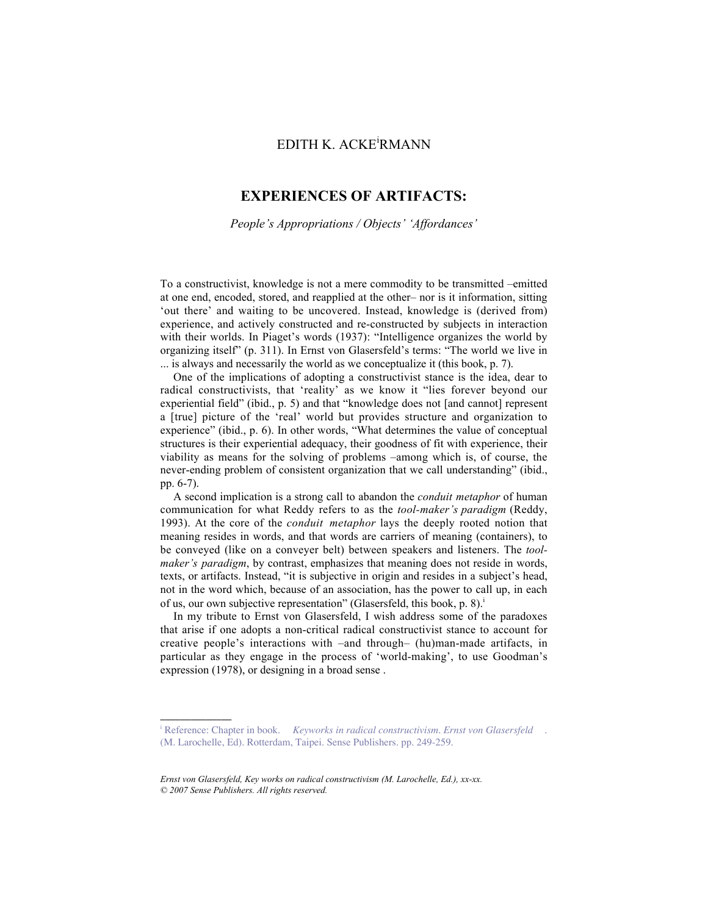# EDITH K. ACKE<sup>i</sup>RMANN

## **EXPERIENCES OF ARTIFACTS:**

*People's Appropriations / Objects' 'Affordances'*

To a constructivist, knowledge is not a mere commodity to be transmitted –emitted at one end, encoded, stored, and reapplied at the other– nor is it information, sitting 'out there' and waiting to be uncovered. Instead, knowledge is (derived from) experience, and actively constructed and re-constructed by subjects in interaction with their worlds. In Piaget's words (1937): "Intelligence organizes the world by organizing itself" (p. 311). In Ernst von Glasersfeld's terms: "The world we live in ... is always and necessarily the world as we conceptualize it (this book, p. 7).

One of the implications of adopting a constructivist stance is the idea, dear to radical constructivists, that 'reality' as we know it "lies forever beyond our experiential field" (ibid., p. 5) and that "knowledge does not [and cannot] represent a [true] picture of the 'real' world but provides structure and organization to experience" (ibid., p. 6). In other words, "What determines the value of conceptual structures is their experiential adequacy, their goodness of fit with experience, their viability as means for the solving of problems –among which is, of course, the never-ending problem of consistent organization that we call understanding" (ibid., pp. 6-7).

A second implication is a strong call to abandon the *conduit metaphor* of human communication for what Reddy refers to as the *tool-maker's paradigm* (Reddy, 1993). At the core of the *conduit metaphor* lays the deeply rooted notion that meaning resides in words, and that words are carriers of meaning (containers), to be conveyed (like on a conveyer belt) between speakers and listeners. The *toolmaker's paradigm*, by contrast, emphasizes that meaning does not reside in words, texts, or artifacts. Instead, "it is subjective in origin and resides in a subject's head, not in the word which, because of an association, has the power to call up, in each of us, our own subjective representation" (Glasersfeld, this book, p. 8).

In my tribute to Ernst von Glasersfeld, I wish address some of the paradoxes that arise if one adopts a non-critical radical constructivist stance to account for creative people's interactions with –and through– (hu)man-made artifacts, in particular as they engage in the process of 'world-making', to use Goodman's expression (1978), or designing in a broad sense .

<sup>i</sup> Reference: Chapter in book. *Keyworks in radical constructivism. Ernst von Glasersfeld*. (M. Larochelle, Ed). Rotterdam, Taipei. Sense Publishers. pp. 249-259.

––––––––––––––

*Ernst von Glasersfeld, Key works on radical constructivism (M. Larochelle, Ed.), xx-xx. © 2007 Sense Publishers. All rights reserved.*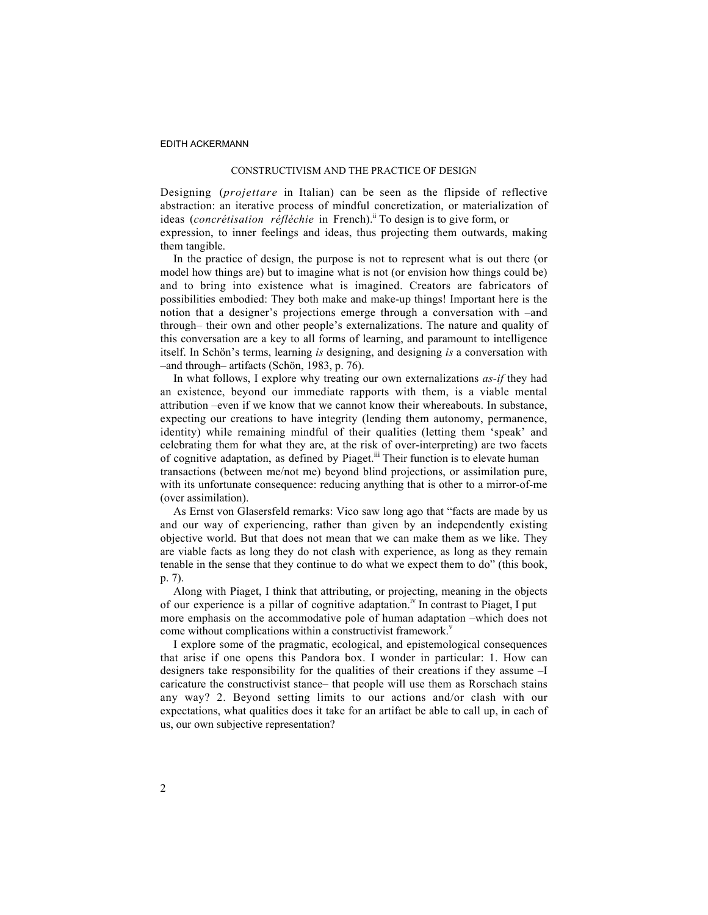## CONSTRUCTIVISM AND THE PRACTICE OF DESIGN

Designing (*projettare* in Italian) can be seen as the flipside of reflective abstraction: an iterative process of mindful concretization, or materialization of ideas (*concrétisation réfléchie* in French).<sup>ii</sup> To design is to give form, or expression, to inner feelings and ideas, thus projecting them outwards, making them tangible.

In the practice of design, the purpose is not to represent what is out there (or model how things are) but to imagine what is not (or envision how things could be) and to bring into existence what is imagined. Creators are fabricators of possibilities embodied: They both make and make-up things! Important here is the notion that a designer's projections emerge through a conversation with –and through– their own and other people's externalizations. The nature and quality of this conversation are a key to all forms of learning, and paramount to intelligence itself. In Schön's terms, learning *is* designing, and designing *is* a conversation with –and through– artifacts (Schön, 1983, p. 76).

In what follows, I explore why treating our own externalizations *as-if* they had an existence, beyond our immediate rapports with them, is a viable mental attribution –even if we know that we cannot know their whereabouts. In substance, expecting our creations to have integrity (lending them autonomy, permanence, identity) while remaining mindful of their qualities (letting them 'speak' and celebrating them for what they are, at the risk of over-interpreting) are two facets of cognitive adaptation, as defined by Piaget.<sup>iii</sup> Their function is to elevate human transactions (between me/not me) beyond blind projections, or assimilation pure, with its unfortunate consequence: reducing anything that is other to a mirror-of-me (over assimilation).

As Ernst von Glasersfeld remarks: Vico saw long ago that "facts are made by us and our way of experiencing, rather than given by an independently existing objective world. But that does not mean that we can make them as we like. They are viable facts as long they do not clash with experience, as long as they remain tenable in the sense that they continue to do what we expect them to do" (this book, p. 7).

Along with Piaget, I think that attributing, or projecting, meaning in the objects of our experience is a pillar of cognitive adaptation.<sup>iv</sup> In contrast to Piaget, I put more emphasis on the accommodative pole of human adaptation –which does not come without complications within a constructivist framework.<sup>v</sup>

I explore some of the pragmatic, ecological, and epistemological consequences that arise if one opens this Pandora box. I wonder in particular: 1. How can designers take responsibility for the qualities of their creations if they assume –I caricature the constructivist stance– that people will use them as Rorschach stains any way? 2. Beyond setting limits to our actions and/or clash with our expectations, what qualities does it take for an artifact be able to call up, in each of us, our own subjective representation?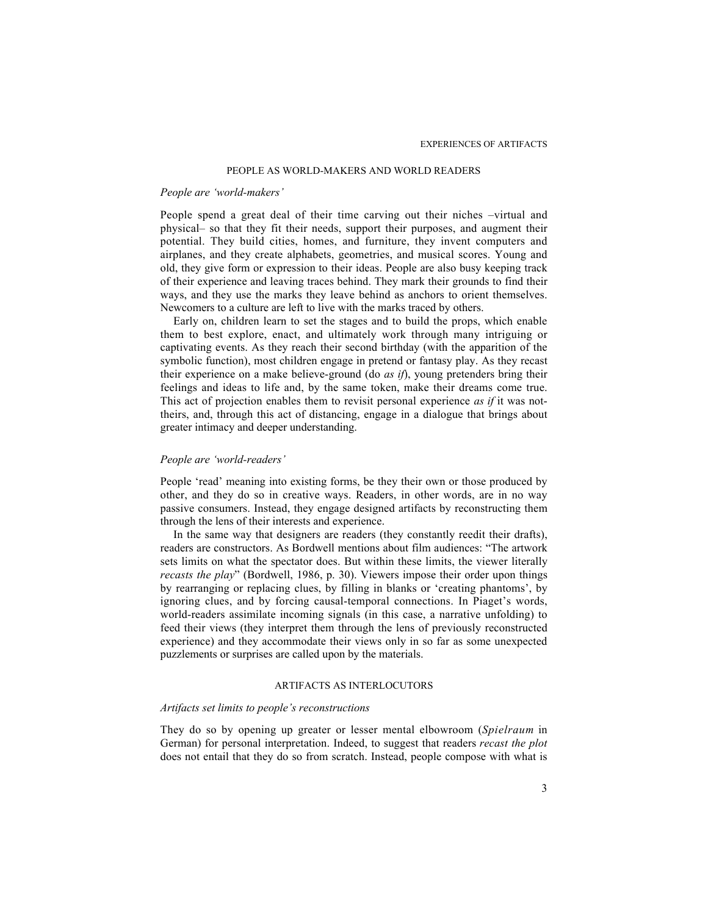#### PEOPLE AS WORLD-MAKERS AND WORLD READERS

#### *People are 'world-makers'*

People spend a great deal of their time carving out their niches –virtual and physical– so that they fit their needs, support their purposes, and augment their potential. They build cities, homes, and furniture, they invent computers and airplanes, and they create alphabets, geometries, and musical scores. Young and old, they give form or expression to their ideas. People are also busy keeping track of their experience and leaving traces behind. They mark their grounds to find their ways, and they use the marks they leave behind as anchors to orient themselves. Newcomers to a culture are left to live with the marks traced by others.

Early on, children learn to set the stages and to build the props, which enable them to best explore, enact, and ultimately work through many intriguing or captivating events. As they reach their second birthday (with the apparition of the symbolic function), most children engage in pretend or fantasy play. As they recast their experience on a make believe-ground (do *as if*), young pretenders bring their feelings and ideas to life and, by the same token, make their dreams come true. This act of projection enables them to revisit personal experience *as if* it was nottheirs, and, through this act of distancing, engage in a dialogue that brings about greater intimacy and deeper understanding.

## *People are 'world-readers'*

People 'read' meaning into existing forms, be they their own or those produced by other, and they do so in creative ways. Readers, in other words, are in no way passive consumers. Instead, they engage designed artifacts by reconstructing them through the lens of their interests and experience.

In the same way that designers are readers (they constantly reedit their drafts), readers are constructors. As Bordwell mentions about film audiences: "The artwork sets limits on what the spectator does. But within these limits, the viewer literally *recasts the play*" (Bordwell, 1986, p. 30). Viewers impose their order upon things by rearranging or replacing clues, by filling in blanks or 'creating phantoms', by ignoring clues, and by forcing causal-temporal connections. In Piaget's words, world-readers assimilate incoming signals (in this case, a narrative unfolding) to feed their views (they interpret them through the lens of previously reconstructed experience) and they accommodate their views only in so far as some unexpected puzzlements or surprises are called upon by the materials.

## ARTIFACTS AS INTERLOCUTORS

## *Artifacts set limits to people's reconstructions*

They do so by opening up greater or lesser mental elbowroom (*Spielraum* in German) for personal interpretation. Indeed, to suggest that readers *recast the plot* does not entail that they do so from scratch. Instead, people compose with what is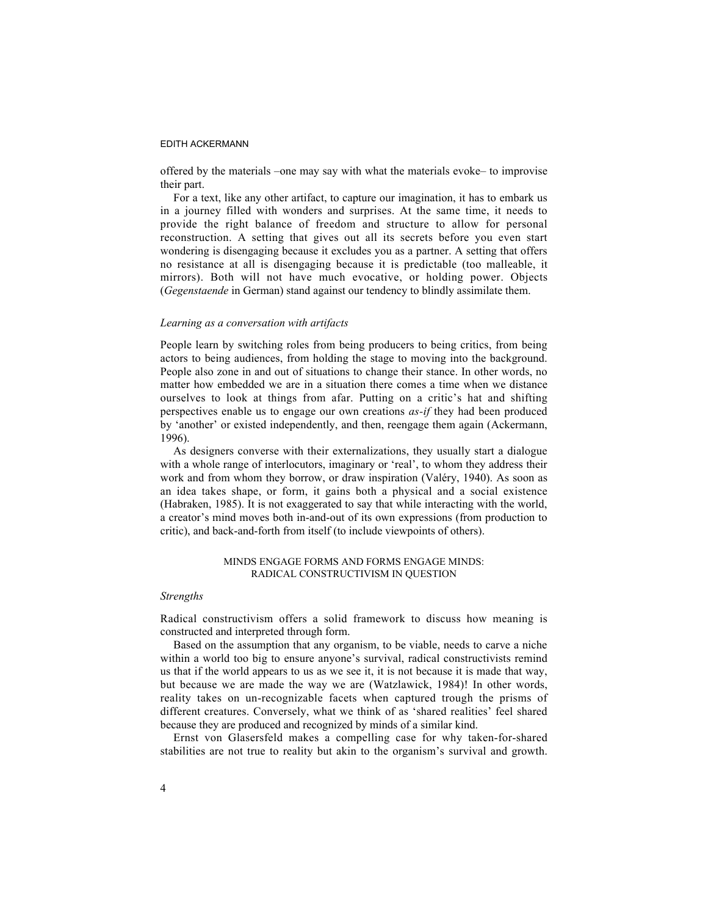offered by the materials –one may say with what the materials evoke– to improvise their part.

For a text, like any other artifact, to capture our imagination, it has to embark us in a journey filled with wonders and surprises. At the same time, it needs to provide the right balance of freedom and structure to allow for personal reconstruction. A setting that gives out all its secrets before you even start wondering is disengaging because it excludes you as a partner. A setting that offers no resistance at all is disengaging because it is predictable (too malleable, it mirrors). Both will not have much evocative, or holding power. Objects (*Gegenstaende* in German) stand against our tendency to blindly assimilate them.

## *Learning as a conversation with artifacts*

People learn by switching roles from being producers to being critics, from being actors to being audiences, from holding the stage to moving into the background. People also zone in and out of situations to change their stance. In other words, no matter how embedded we are in a situation there comes a time when we distance ourselves to look at things from afar. Putting on a critic's hat and shifting perspectives enable us to engage our own creations *as-if* they had been produced by 'another' or existed independently, and then, reengage them again (Ackermann, 1996).

As designers converse with their externalizations, they usually start a dialogue with a whole range of interlocutors, imaginary or 'real', to whom they address their work and from whom they borrow, or draw inspiration (Valéry, 1940). As soon as an idea takes shape, or form, it gains both a physical and a social existence (Habraken, 1985). It is not exaggerated to say that while interacting with the world, a creator's mind moves both in-and-out of its own expressions (from production to critic), and back-and-forth from itself (to include viewpoints of others).

## MINDS ENGAGE FORMS AND FORMS ENGAGE MINDS: RADICAL CONSTRUCTIVISM IN QUESTION

## *Strengths*

Radical constructivism offers a solid framework to discuss how meaning is constructed and interpreted through form.

Based on the assumption that any organism, to be viable, needs to carve a niche within a world too big to ensure anyone's survival, radical constructivists remind us that if the world appears to us as we see it, it is not because it is made that way, but because we are made the way we are (Watzlawick, 1984)! In other words, reality takes on un-recognizable facets when captured trough the prisms of different creatures. Conversely, what we think of as 'shared realities' feel shared because they are produced and recognized by minds of a similar kind.

Ernst von Glasersfeld makes a compelling case for why taken-for-shared stabilities are not true to reality but akin to the organism's survival and growth.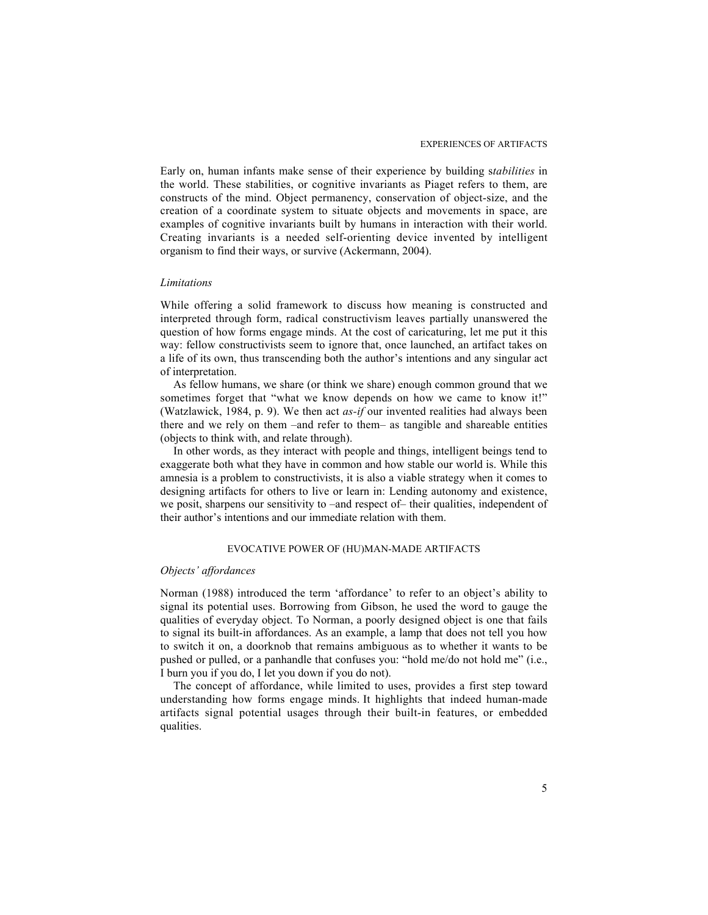Early on, human infants make sense of their experience by building s*tabilities* in the world. These stabilities, or cognitive invariants as Piaget refers to them, are constructs of the mind. Object permanency, conservation of object-size, and the creation of a coordinate system to situate objects and movements in space, are examples of cognitive invariants built by humans in interaction with their world. Creating invariants is a needed self-orienting device invented by intelligent organism to find their ways, or survive (Ackermann, 2004).

#### *Limitations*

While offering a solid framework to discuss how meaning is constructed and interpreted through form, radical constructivism leaves partially unanswered the question of how forms engage minds. At the cost of caricaturing, let me put it this way: fellow constructivists seem to ignore that, once launched, an artifact takes on a life of its own, thus transcending both the author's intentions and any singular act of interpretation.

As fellow humans, we share (or think we share) enough common ground that we sometimes forget that "what we know depends on how we came to know it!" (Watzlawick, 1984, p. 9). We then act *as-if* our invented realities had always been there and we rely on them –and refer to them– as tangible and shareable entities (objects to think with, and relate through).

In other words, as they interact with people and things, intelligent beings tend to exaggerate both what they have in common and how stable our world is. While this amnesia is a problem to constructivists, it is also a viable strategy when it comes to designing artifacts for others to live or learn in: Lending autonomy and existence, we posit, sharpens our sensitivity to –and respect of– their qualities, independent of their author's intentions and our immediate relation with them.

## EVOCATIVE POWER OF (HU)MAN-MADE ARTIFACTS

## *Objects' affordances*

Norman (1988) introduced the term 'affordance' to refer to an object's ability to signal its potential uses. Borrowing from Gibson, he used the word to gauge the qualities of everyday object. To Norman, a poorly designed object is one that fails to signal its built-in affordances. As an example, a lamp that does not tell you how to switch it on, a doorknob that remains ambiguous as to whether it wants to be pushed or pulled, or a panhandle that confuses you: "hold me/do not hold me" (i.e., I burn you if you do, I let you down if you do not).

The concept of affordance, while limited to uses, provides a first step toward understanding how forms engage minds. It highlights that indeed human-made artifacts signal potential usages through their built-in features, or embedded qualities.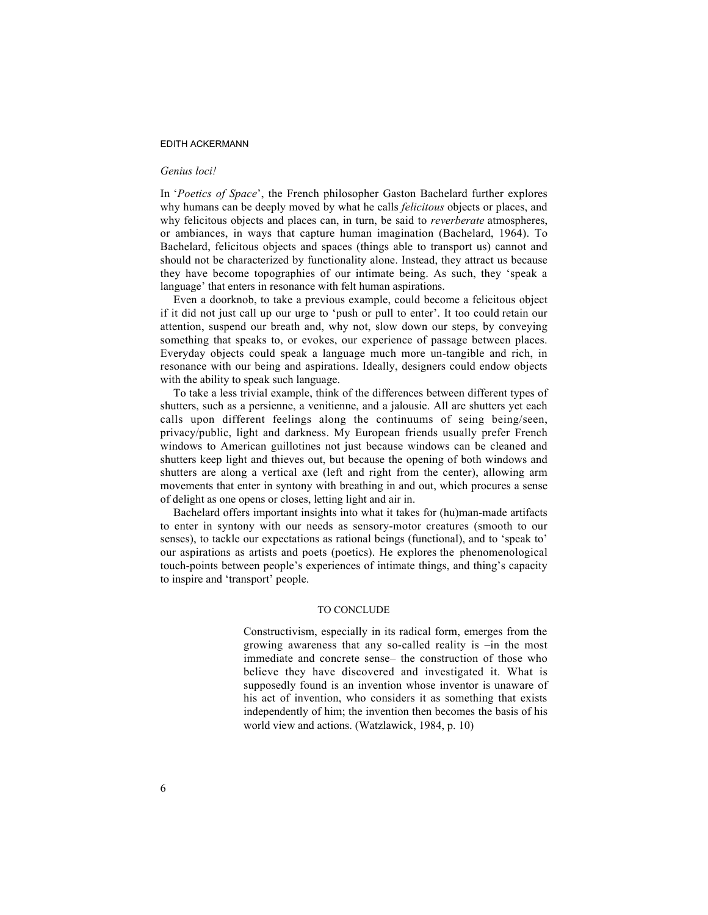## *Genius loci!*

In '*Poetics of Space*', the French philosopher Gaston Bachelard further explores why humans can be deeply moved by what he calls *felicitous* objects or places, and why felicitous objects and places can, in turn, be said to *reverberate* atmospheres, or ambiances, in ways that capture human imagination (Bachelard, 1964). To Bachelard, felicitous objects and spaces (things able to transport us) cannot and should not be characterized by functionality alone. Instead, they attract us because they have become topographies of our intimate being. As such, they 'speak a language' that enters in resonance with felt human aspirations.

Even a doorknob, to take a previous example, could become a felicitous object if it did not just call up our urge to 'push or pull to enter'. It too could retain our attention, suspend our breath and, why not, slow down our steps, by conveying something that speaks to, or evokes, our experience of passage between places. Everyday objects could speak a language much more un-tangible and rich, in resonance with our being and aspirations. Ideally, designers could endow objects with the ability to speak such language.

To take a less trivial example, think of the differences between different types of shutters, such as a persienne, a venitienne, and a jalousie. All are shutters yet each calls upon different feelings along the continuums of seing being/seen, privacy/public, light and darkness. My European friends usually prefer French windows to American guillotines not just because windows can be cleaned and shutters keep light and thieves out, but because the opening of both windows and shutters are along a vertical axe (left and right from the center), allowing arm movements that enter in syntony with breathing in and out, which procures a sense of delight as one opens or closes, letting light and air in.

Bachelard offers important insights into what it takes for (hu)man-made artifacts to enter in syntony with our needs as sensory-motor creatures (smooth to our senses), to tackle our expectations as rational beings (functional), and to 'speak to' our aspirations as artists and poets (poetics). He explores the phenomenological touch-points between people's experiences of intimate things, and thing's capacity to inspire and 'transport' people.

#### TO CONCLUDE

Constructivism, especially in its radical form, emerges from the growing awareness that any so-called reality is –in the most immediate and concrete sense– the construction of those who believe they have discovered and investigated it. What is supposedly found is an invention whose inventor is unaware of his act of invention, who considers it as something that exists independently of him; the invention then becomes the basis of his world view and actions. (Watzlawick, 1984, p. 10)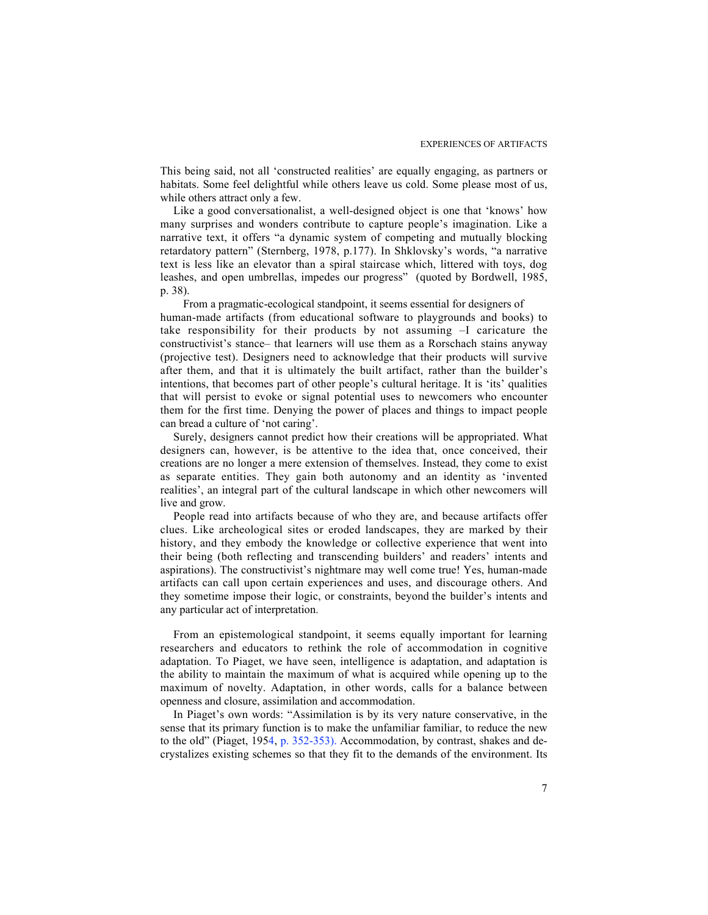This being said, not all 'constructed realities' are equally engaging, as partners or habitats. Some feel delightful while others leave us cold. Some please most of us, while others attract only a few.

Like a good conversationalist, a well-designed object is one that 'knows' how many surprises and wonders contribute to capture people's imagination. Like a narrative text, it offers "a dynamic system of competing and mutually blocking retardatory pattern" (Sternberg, 1978, p.177). In Shklovsky's words, "a narrative text is less like an elevator than a spiral staircase which, littered with toys, dog leashes, and open umbrellas, impedes our progress" (quoted by Bordwell, 1985, p. 38).

 From a pragmatic-ecological standpoint, it seems essential for designers of human-made artifacts (from educational software to playgrounds and books) to take responsibility for their products by not assuming –I caricature the constructivist's stance– that learners will use them as a Rorschach stains anyway (projective test). Designers need to acknowledge that their products will survive after them, and that it is ultimately the built artifact, rather than the builder's intentions, that becomes part of other people's cultural heritage. It is 'its' qualities that will persist to evoke or signal potential uses to newcomers who encounter them for the first time. Denying the power of places and things to impact people can bread a culture of 'not caring'.

Surely, designers cannot predict how their creations will be appropriated. What designers can, however, is be attentive to the idea that, once conceived, their creations are no longer a mere extension of themselves. Instead, they come to exist as separate entities. They gain both autonomy and an identity as 'invented realities', an integral part of the cultural landscape in which other newcomers will live and grow.

People read into artifacts because of who they are, and because artifacts offer clues. Like archeological sites or eroded landscapes, they are marked by their history, and they embody the knowledge or collective experience that went into their being (both reflecting and transcending builders' and readers' intents and aspirations). The constructivist's nightmare may well come true! Yes, human-made artifacts can call upon certain experiences and uses, and discourage others. And they sometime impose their logic, or constraints, beyond the builder's intents and any particular act of interpretation.

From an epistemological standpoint, it seems equally important for learning researchers and educators to rethink the role of accommodation in cognitive adaptation. To Piaget, we have seen, intelligence is adaptation, and adaptation is the ability to maintain the maximum of what is acquired while opening up to the maximum of novelty. Adaptation, in other words, calls for a balance between openness and closure, assimilation and accommodation.

In Piaget's own words: "Assimilation is by its very nature conservative, in the sense that its primary function is to make the unfamiliar familiar, to reduce the new to the old" (Piaget, 1954, p. 352-353). Accommodation, by contrast, shakes and decrystalizes existing schemes so that they fit to the demands of the environment. Its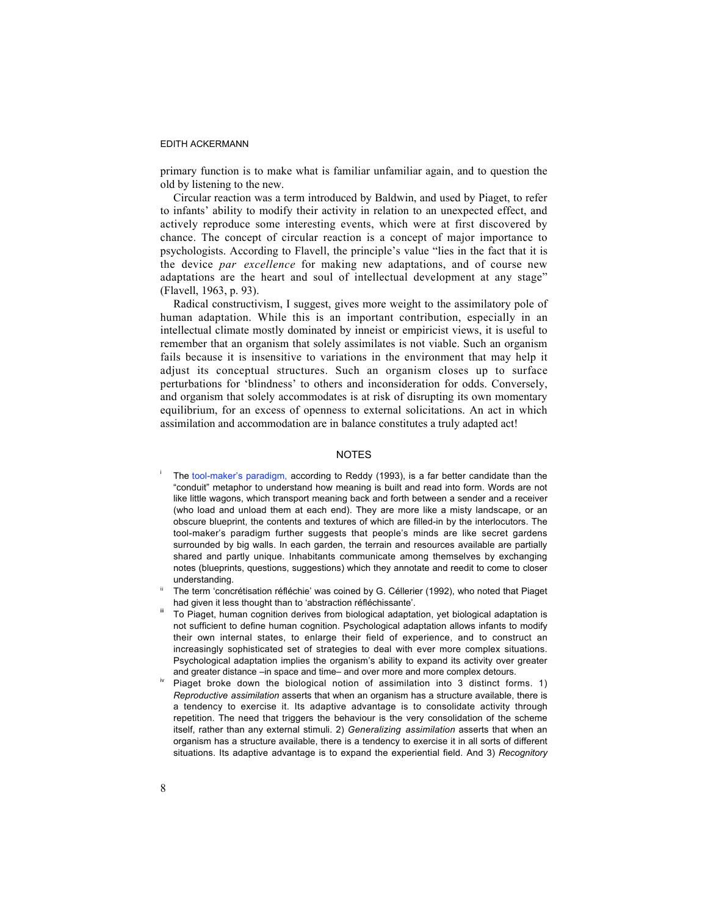primary function is to make what is familiar unfamiliar again, and to question the old by listening to the new.

Circular reaction was a term introduced by Baldwin, and used by Piaget, to refer to infants' ability to modify their activity in relation to an unexpected effect, and actively reproduce some interesting events, which were at first discovered by chance. The concept of circular reaction is a concept of major importance to psychologists. According to Flavell, the principle's value "lies in the fact that it is the device *par excellence* for making new adaptations, and of course new adaptations are the heart and soul of intellectual development at any stage" (Flavell, 1963, p. 93).

Radical constructivism, I suggest, gives more weight to the assimilatory pole of human adaptation. While this is an important contribution, especially in an intellectual climate mostly dominated by inneist or empiricist views, it is useful to remember that an organism that solely assimilates is not viable. Such an organism fails because it is insensitive to variations in the environment that may help it adjust its conceptual structures. Such an organism closes up to surface perturbations for 'blindness' to others and inconsideration for odds. Conversely, and organism that solely accommodates is at risk of disrupting its own momentary equilibrium, for an excess of openness to external solicitations. An act in which assimilation and accommodation are in balance constitutes a truly adapted act!

## **NOTES**

- The tool-maker's paradigm, according to Reddy (1993), is a far better candidate than the "conduit" metaphor to understand how meaning is built and read into form. Words are not like little wagons, which transport meaning back and forth between a sender and a receiver (who load and unload them at each end). They are more like a misty landscape, or an obscure blueprint, the contents and textures of which are filled-in by the interlocutors. The tool-maker's paradigm further suggests that people's minds are like secret gardens surrounded by big walls. In each garden, the terrain and resources available are partially shared and partly unique. Inhabitants communicate among themselves by exchanging notes (blueprints, questions, suggestions) which they annotate and reedit to come to closer understanding.
- The term 'concrétisation réfléchie' was coined by G. Céllerier (1992), who noted that Piaget had given it less thought than to 'abstraction réfléchissante'.
- To Piaget, human cognition derives from biological adaptation, yet biological adaptation is not sufficient to define human cognition. Psychological adaptation allows infants to modify their own internal states, to enlarge their field of experience, and to construct an increasingly sophisticated set of strategies to deal with ever more complex situations. Psychological adaptation implies the organism's ability to expand its activity over greater and greater distance –in space and time– and over more and more complex detours.
- Piaget broke down the biological notion of assimilation into 3 distinct forms. 1) *Reproductive assimilation* asserts that when an organism has a structure available, there is a tendency to exercise it. Its adaptive advantage is to consolidate activity through repetition. The need that triggers the behaviour is the very consolidation of the scheme itself, rather than any external stimuli. 2) *Generalizing assimilation* asserts that when an organism has a structure available, there is a tendency to exercise it in all sorts of different situations. Its adaptive advantage is to expand the experiential field. And 3) *Recognitory*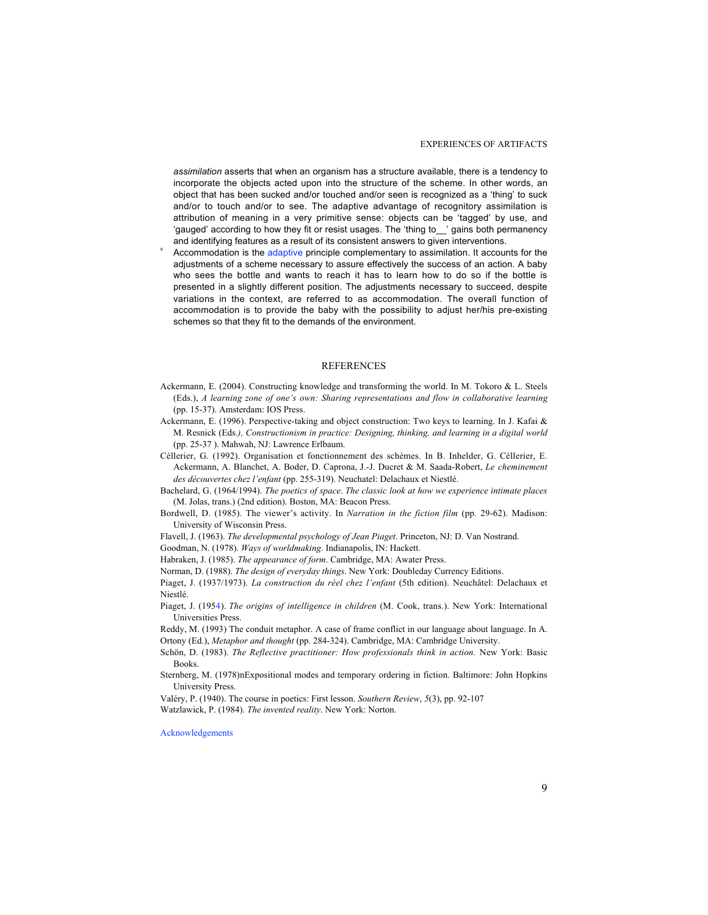#### EXPERIENCES OF ARTIFACTS

*assimilation* asserts that when an organism has a structure available, there is a tendency to incorporate the objects acted upon into the structure of the scheme. In other words, an object that has been sucked and/or touched and/or seen is recognized as a 'thing' to suck and/or to touch and/or to see. The adaptive advantage of recognitory assimilation is attribution of meaning in a very primitive sense: objects can be 'tagged' by use, and 'gauged' according to how they fit or resist usages. The 'thing to\_\_' gains both permanency and identifying features as a result of its consistent answers to given interventions.

Accommodation is the adaptive principle complementary to assimilation. It accounts for the adjustments of a scheme necessary to assure effectively the success of an action. A baby who sees the bottle and wants to reach it has to learn how to do so if the bottle is presented in a slightly different position. The adjustments necessary to succeed, despite variations in the context, are referred to as accommodation. The overall function of accommodation is to provide the baby with the possibility to adjust her/his pre-existing schemes so that they fit to the demands of the environment.

#### REFERENCES

- Ackermann, E. (2004). Constructing knowledge and transforming the world. In M. Tokoro & L. Steels (Eds.), *A learning zone of one's own: Sharing representations and flow in collaborative learning* (pp. 15-37). Amsterdam: IOS Press.
- Ackermann, E. (1996). Perspective-taking and object construction: Two keys to learning. In J. Kafai & M. Resnick (Eds*.), Constructionism in practice: Designing, thinking, and learning in a digital world* (pp. 25-37 ). Mahwah, NJ: Lawrence Erlbaum.
- Céllerier, G. (1992). Organisation et fonctionnement des schèmes. In B. Inhelder, G. Céllerier, E. Ackermann, A. Blanchet, A. Boder, D. Caprona, J.-J. Ducret & M. Saada-Robert, *Le cheminement des découvertes chez l'enfant* (pp. 255-319). Neuchatel: Delachaux et Niestlé.
- Bachelard, G. (1964/1994). *The poetics of space*. *The classic look at how we experience intimate places* (M. Jolas, trans.) (2nd edition). Boston, MA: Beacon Press.
- Bordwell, D. (1985). The viewer's activity. In *Narration in the fiction film* (pp. 29-62). Madison: University of Wisconsin Press.

Flavell, J. (1963). *The developmental psychology of Jean Piaget*. Princeton, NJ: D. Van Nostrand.

Goodman, N. (1978). *Ways of worldmaking*. Indianapolis, IN: Hackett.

Habraken, J. (1985). *The appearance of form*. Cambridge, MA: Awater Press.

Norman, D. (1988). *The design of everyday things*. New York: Doubleday Currency Editions.

Piaget, J. (1937/1973). *La construction du réel chez l'enfant* (5th edition). Neuchâtel: Delachaux et Niestlé.

Piaget, J. (1954). *The origins of intelligence in children* (M. Cook, trans.). New York: International Universities Press.

Reddy, M. (1993) The conduit metaphor. A case of frame conflict in our language about language. In A. Ortony (Ed.), *Metaphor and thought* (pp. 284-324). Cambridge, MA: Cambridge University.

Schön, D. (1983). *The Reflective practitioner: How professionals think in action.* New York: Basic Books.

Sternberg, M. (1978)nExpositional modes and temporary ordering in fiction. Baltimore: John Hopkins University Press.

Valéry, P. (1940). The course in poetics: First lesson. *Southern Review*, *5*(3), pp. 92-107 Watzlawick, P. (1984). *The invented reality*. New York: Norton.

Acknowledgements